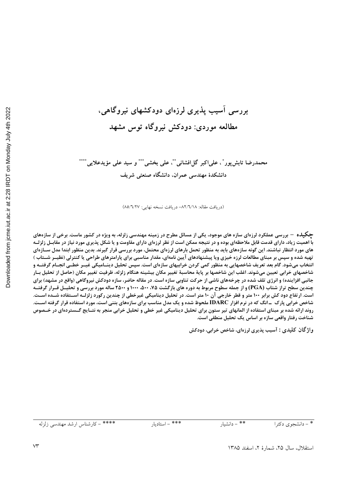# بررسی أسیب پذیری لرزهای دودکشهای نیروگاهی، مطالعه موردی: دودکش نیروگاه توس مشهد

محمدرضا تابش پور ْ ، علىاكبر گلافشاني پْٽْ، على بخشي پُٽشو سيد على مؤيدعلايي پُٽُٽُ دانشکدهٔ مهندسی عمران، دانشگاه صنعتی شریف

(دريافت مقاله: ٨٢/٦/١٨- دريافت نسخه نهايي: ٨٥/٦/٢٧)

چگیل**ه – بررسی عملکرد لرزهای سازه های موجود**، یکی از مسائل مطرح در زمینه مهندسی زلزله، به ویژه در کشور ماست. برخی از سازههای با اهمیت زیاد، دارای قدمت قابل ملاحظهای بوده و در نتیجه ممکن است از نظر لرزهای دارای مقاومت و یا شکل پذیری مورد نیاز در مقابـل زلزلـه های مورد انتظار نباشند. این گونه سازههای باید به منظور تحمل بارهای لرزهای محتمل، مورد بررسی قرار گیرند. بدین منظور ابتدا مدل سـازهای تهیه شده و سپس بر مبنای مطالعات لرزه خیزی ویا پیشنهادهای آیین نامهای، مقدار مناسبی برای پارامترهای طراحی یا کنترلی (نظیــر شــتاب ) انتخاب میشود. گام بعد تعریف شاخصهایی به منظور کمی کردن خرابیهای سازهای است. سپس تحلیل دینـامیکی غیـر خطـی انجـام گرفتـه و شاخصهای خرابی تعیین میشوند. اغلب این شاخصها بر پایهٔ محاسبهٔ تغییر مکان بیشینه هنگام زلزله، ظرفیت تغییر مکان (حاصل از تحلیل بـار جانبی افزاینده) و انرژی تلف شده در چرخههای ناشی از حرکت تناوبی سازه است. در مقاله حاضر، سازه دودکش نیروگاهی (واقع در مشهد) برای چندین سطح تراز شتاب (PGA) و از جمله سطوح مربوط به دوره های بازگشت ۷۵، ۱۰۰، ۱۰۰۰ و ۲۵۰۰ ساله مورد بررسی و تحلیـل قــرار گرفتــه است. ارتفاع دود کش برابر ۱۰۰ متر و قطر خارجی آن ۱۰ متر است. در تحلیل دینامیکی غیرخطی از چندین رکورد زلزلـه اسـتفاده شــده اسـت. شاخص خرابی پارک \_انگ که در نرم افزار IDARC ملحوظ شده و یک مدل مناسب برای سازههای بتنی است، مورد استفاده قرار گرفته اسـت. روند ارائه شده بر مبنای استفاده از المانهای تیر ستون برای تحلیل دینامیکی غیر خطی و تحلیل خرابی منجر به نتـایج گـستردهای در خـصوص شناخت رفتار واقعی سازه بر اساس یک تحلیل منطقی است.

واژگان کلیدی : آسیب پذیری لرزهای، شاخص خرابی، دودکش

\*\* - دانشيار \* - دانشجوی دکترا

\*\*\* - استاديار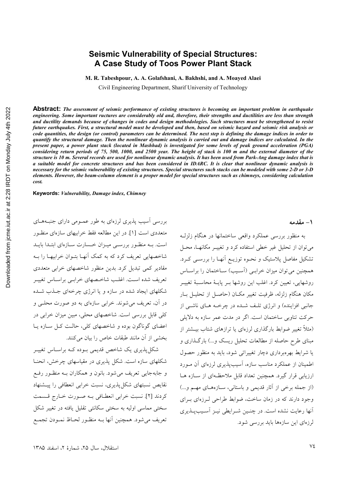### **Seismic Vulnerability of Special Structures: A Case Study of Toos Power Plant Stack**

**M. R. Tabeshpour, A. A. Golafshani, A. Bakhshi, and A. Moayed Alaei** 

Civil Engineering Department, Sharif University of Technology

**Abstract:** *The assessment of seismic performance of existing structures is becoming an important problem in earthquake engineering. Some important ructures are considerably old and, therefore, their strengths and ductilities are less than strength and ductility demands because of changes in codes and design methodologies. Such structures must be strengthened to resist future earthquakes. First, a structural model must be developed and then, based on seismic hazard and seismic risk analysis or code quantities, the design (or control) parameters can be determined. The next step is defining the damage indices in order to quantify the structural damage. Then the nonlinear dynamic analysis is carried out and damage indices are calculated. In the present paper, a power plant stack (located in Mashhad) is investigated for some levels of peak ground acceleration (PGA) considering return periods of 75, 500, 1000, and 2500 year. The height of stack is 100 m and the external diameter of the structure is 10 m. Several records are used for nonlinear dynamic analysis. It has been used from Park-Ang damage index that is a suitable model for concrete structures and has been considered in IDARC. It is clear that nonlinear dynamic analysis is necessary for the seismic vulnerability of existing structures. Special structures such stacks can be modeled with some 2-D or 3-D elements. However, the beam-column element is a proper model for special structures such as chimneys, considering calculation cost.* 

**Keywords:** *Vulnerability, Damage index, Chimney* 

بررسی آسیب پذیری لرزهای به طور عمـومی دارای جنبـههـای متعددي است [۱]. در اين مطالعه فقط خرابيهاي سازهاي منظـور است. بـه منظـور بررسـي ميـزان خـسارت سـازهاي ابتـدا بايـد شاخصهایی تعریف کرد که به کمک آنهـا بتـوان خرابیهـا را بـه مقادیر کمی تبدیل کرد. بدین منظور شاخصهای خرابی متعددی تعریف شده است. اغلب شاخـصهای خرابـی براسـاس تغییـر شکلهای ایجاد شده در سازه و یا انرژی چرخهای جــذب شــده در آن، تعریف میشوند. خرابی سازهای به دو صورت محلــی و كلي قابل بررسي است. شاخصهاي محلي، مبين ميزان خرابي در اعضای گوناگون بوده و شاخصهای کلی، حالت کل سازه یا بخشي از آن مانند طبقات خاص را بيان مي كنند.

شکا<sub>،</sub> پذیری یک شاخص قدیمی بـوده کـه براسـاس تغییـر شکلهای سازه است. شکل پذیری در مقیاسهای چرخش، انحنـا و جابهجایی تعریف می شود. بانون و همکاران بـه منظـور رفـع نقایص نسبتهای شکل پذیری، نسبت خرابی انعطافی را پیشنهاد كردند [۲]. نسبت خرابي انعطـافي بـه صـورت خـارج قـسمت سختی مماسی اولیه به سختی سکانتی تقلیل یافته در تغییر شکل تعريف مي شود. همچنين أنها بــه منظــور لحــاظ نمــودن تجمــع **%> ;=**

به منظور بررسی عملکرد واقعی ساختمانها در هنگام زلزل می توان از تحلیل غیر خطی استفاده کرد و تغییـر مکانهـا، محـل تشکیل مفاصل پلاستیک و نحـوه توزیــع اّنهـا را بررســی کــرد. همچنین می توان میزان خرابے (آسیب) ساختمان را براساس روشهایی، تعیین کرد. اغلب این روشها بـر پایـهٔ محاسـبهٔ تغییـر مكان هنگام زلزله، ظرفيت تغيير مكــان (حاصــل از تحليــل بــار جانبي افزاينده) و انرژي تلـف شــده در چرخــه هــاي ناشــي از حرکت تناوبی ساختمان است. اگر در مدت عمر سازه به دلایلی (مثلاً تغییر ضوابط بارگذاری لرزهای یا ترازهای شتاب بیــشتر از مبنای طرح حاصله از مطالعات تحلیل ریسک و…) بارگـذاری و یا شرایط بهرهبرداری دچار تغییراتی شود، باید به منظور حصول اطمینان از عملکرد مناسب سازه، آسیبپذیری لرزهای آن مـورد ارزیابی قرار گیرد. همچنین تعداد قابل ملاحظهای از سازه هـا (از جمله برخی از آثار قدیمی و باستانی، سـازههـای مهـم و...) وجود دارند که در زمان ساخت، ضوابط طراحی لـرزمای بـرای آنها رعایت نشده است. در چنین شیرایطی نیز آسیب پیذیری لرزمای این سازهها باید بررسی شود.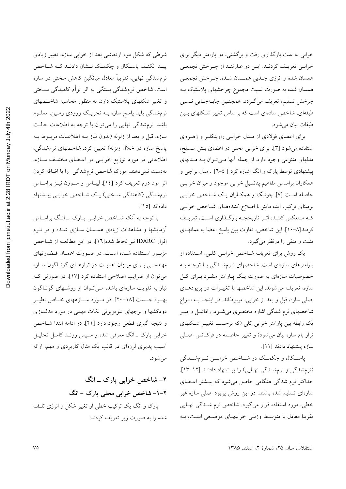خرابی به علت بارگذاری رفت و برگشتی، دو پارامتر دیگر برای خرابـي تعريـف كردنـد. ايـن دو عبارتنـد از چـرخش تجمعـي همسان شده و انرژي جـذبي همــسان شــده. چــرخش تجمعــي همسان شده به صورت نسبت مجموع چرخشهای پلاستیک بــه چرخش تسليم، تعريف ميگردد. همچنـين جابـهجـايي نـسبي طبقهای، شاخص سادهای است که براساس تغییر شکلهای بـین طبقات بيان مي شو د.

برای اعضای فولادی از مـدل خرابـی راوینکلـر و زهـرهای استفاده می شود [۳]. برای خرابی محلی در اعضای بـتن مـسلح، مدلهاي متنوعي وجود دارد. از جمله آنها مـيتوان بـه مـدلهاي پیشنهادی توسط پارک و انگ اشاره کرد [ ٤–٦] . مدل براچی و همکاران براساس مفاهیم پتانسیل خرابی موجود و میزان خرابـی حاصله است [۷]. چونگ و همکـاران یـک شـاخص خرابـی برمبنای ترکیب ایده ماینر با اصلاح کنندههای شـاخص خرابـی کـه مـنعکس کننـده اثـر تاريخچــه بارگـذاري اسـت، تعريـف كردند[٨-١٠]. اين شاخص، تفاوت بين پاسخ اعضا به ممانهـاي مثبت و منفی را درنظر می گیرد.

یک روش برای تعریف شـاخص خرابـی کلـی، اسـتفاده از پارامترهای سازهای است. شاخصهای نـرمشـدگی بـا توجـه بـه خصوصیات سازهای به صورت یک پـارامتر منفـرد بـرای کـل سازه، تعریف میشوند. این شاخصها با تغییـرات در پریودهـای اصلی سازه، قبل و بعد از خرابی، مربوطاند. در اینجـا بـه انـواع شاخصهای نرم شدگی اشاره مختصری میشـود. رافائیــل و میــر یک رابطه بین پارامتر خرابی کلی (که برحسب تغییـر شـکلهای تراز بام سازه بیان می شود) و تغییر حاصـله در فرکـانس اصـلی سازه پیشنهاد دادند [۱۱].

پاسکال و چکمک دو شاخص خرابــي نــرمشــدگي (نرم شدگی و نرم شدگی نهایی) را پیشنهاد دادند [١٢-١٣]. حداکثر نرم شدگی هنگامی حاصل میشود که بیـشتر اعـضای سازهای تسلیم شده باشند. در این روش پریود اصلی سازه غیر خطی، مورد استفاده قرار می گیرد. شاخص نرم شــدگی نهـایی تقریبا معادل با متوسط وزنبی خرابیهای موضعی است، بـه

شرطی که شکل مود ارتعاشی بعد از خرابی سازه، تغییر زیادی پیدا نکنـد. پاسـکال و چکمـک نـشان دادنـد کـه شـاخص نرمشدگی نهایی، تقریباً معادل میانگین کاهش سختی در سازه است. شاخص نرم شدگی بستگی به اثر توأم کاهیدگی سـختی و تغییر شکلهای پلاستیک دارد. به منظور محاسبه شاخـصهای نرمشدگی باید پاسخ سازه بــه تحریــک ورودی زمــین، معلــوم باشد. نرم شدگی نهایی را می توان با توجه به اطلاعات حالت سازه، قبل و بعد از زلزله (بدون نیاز بـه اطلاعـات مربـوط بـه پاسخ سازه در خلال زلزله) تعیین کرد. شاخصهای نرم شدگی، اطلاعاتی در مورد توزیع خرابـی در اعـضای مختلـف سـازه، بهدست نمیدهند. مورک شاخص نرمشدگی را با اضافه کردن اثر مود دوم تعريف كرد [١٤]. ليبـاس و سـوزن نيـز براسـاس نرم شدگی (کاهندگی سختی) یک شـاخص خرابـی پیـشنهاد دادهاند [١٥].

با توجه به آنکه شـاخص خرابـي پـارک - انـگ براسـاس آزمایشها و مشاهدات زیادی همسان سـازی شـده و در نـرم افزار IDARC نيز لحاظ شده[١٦]، در اين مطالعـه از شـاخص مزبور استفاده شـده اسـت. در صـورت اعمـال قـضاوتهاي مهندسی برای میـزان اهمیـت در ترازهـای گونـاگون سـازه می توان از ضرایب اصلاحی استفاده کرد [۱۷]. در صورتی ک نیاز به تقویت سازهای باشد، مےتوان از روشهای گوناگون بهـره جــست [۱۸-۲۰]. در مــورد ســازههاي خــاص نظيــر دودکشها و برجهای تلویزیونی نکات مهمی در مورد مدلسازی و نتيجه گيري قطعي وجود دارد [٢١]. در ادامه ابتدا شـاخص خرابی پارک ـ انگ معرفی شده و سـپس رونـد کامـل تحليـل ۔<br>آسیب یذیری لرزهای در قالب یک مثال کاربردی و مهم، ارائه مے شو د.

۲- شاخص خرابي پارک ــ انگ ۲-۱- شاخص خرابی محلی یارک - انگ یارک و انگ یک ترکیب خطی از تغییر شکل و انرژی تلـف شده را به صورت زیر تعریف کردند:

استقلال، سال ٢۵، شمارة ٢، اسفند ١٣٨۵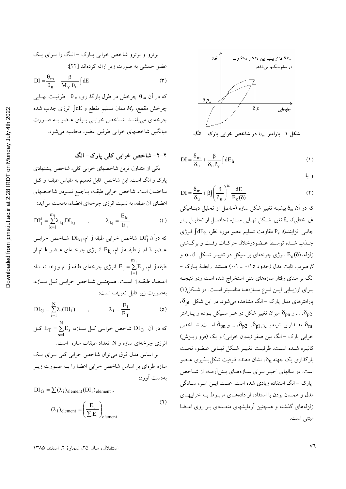برترو و برترو شاخص خرابی پارک – انگ را برای یک  
عضو خمشی به صورت زیر اراثه کردهاند [۲۲]  
10 = 
$$
\frac{\theta_m}{\theta_u} + \frac{\beta}{M_y \theta_u}
$$
 (۳  
که در آن  $m \theta$  چرخش در طول بارگذاری، 0 یا گوفیت نهایی  
چرخش مقطع، ۸۷، ممان تسلیم مقطع و اکا انرژی جذب شده  
چرخهای میباشـد. شاخصی خرابی برای عضو به صورت  
میانگین شاخصهای خرابی طرفین عضو، محاسبه میشود.

۲-۲- شاخص خرابی کلی پارک- انگ یکی از متداول ترین شاخصهای خرابی کلی، شاخص پیشنهادی پارک و انگ است. این شاخص قابل تعمیم به مقیاس طبقــه و کــل ساختمان است. شاخص خرابي طبقـه، بـاجمع نمـودن شاخـصهاي اعضای آن طبقه، به نسبت انرژی چرخهای اعضاء، بهدست می آید:

$$
DI_j^s = \sum_{k=1}^{m_j} \lambda_{kj} . DI_{kj} \qquad , \qquad \lambda_{kj} = \frac{E_{kj}}{E_j} \qquad (1)
$$

كه درآن  $\mathrm{DI}^{\mathrm{s}}_{\mathrm{i}}$  شاخص خرابي طبقه j أم،  $\mathrm{DI}_{\mathrm{ki}}$  شـاخص خرابـي عـضو k ام از طبقــه j ام، E<sub>kj</sub> انــرژى چرخــهاى عــضو k ام از طبقه j طبقه j طبقه j طبقه j طبقه j طبقه j طبقه j طبقه j طبقه j سلمان  $\mathrm{E}_j = \sum\limits_{i=1}^{m_j} \mathrm{E}_{ij}$ اعـضاء طبقــه j اسـت. همچنــين شــاخص خرابــي كــل ســازه، بهصورت زير قابل تعريف است:

$$
DI_G = \sum_{i=1}^{N} \lambda_i (DI_i^s) \qquad , \qquad \lambda_i = \frac{E_i}{E_T} \qquad (6)
$$

که در آن DIG شاخص خرابی کیل سازه، 
$$
E_T = \sum_{s=1}^{N} E_s
$$
 در آن  $E_T = \sum_{s=1}^{N} E_s$  نرژی چرخهای سازه و N تعداد طبقات سازه است.  
\nبر اساس مدل فوق میتوان شاخص خرابی کلی برای یک  
\nسازه طرهای بر اساس شاخص خرابی اعضا را به صورت زیر  
\nهدست آورد:

 $DI_G = \sum (\lambda_i)_{element} (DI_i)_{element}$ ,

$$
(\lambda_i)_{\text{element}} = \left(\frac{E_i}{\sum E_i}\right)_{\text{element}} \tag{1}
$$



$$
DI = \frac{\delta_m}{\delta_u} + \frac{\beta}{\delta_u P_y} \int dE_h \tag{1}
$$

و يا:

$$
DI = \frac{\delta_{m}}{\delta_{u}} + \beta \int \left(\frac{\delta}{\delta_{u}}\right)^{\alpha} \frac{dE}{E_{c}(\delta)}
$$
(1)

که در آن  $\delta_m$  بیشینه تغییر شکل سازه (حاصل از تحلیل دینــامیکی غیر خطی)، & تغییر شکل نهـایی سـازه (حاصـل از تحليـل بـار جانبی افزاینده)، P<sub>v</sub> مقاومت تسلیم عضو مورد نظر، dE<sub>h</sub> انرژی جـذب شـده توسـط عـضودرخلال حركـات رفـت و برگـشتى زلزله، $\delta$ ی انرژی چرخهای بر سیکل در تغییـر شـکل  $\alpha$ ،  $\delta$  و - ضريب ثابت مدل (حدود ٠/١٥ \_ ٠/١) هستند. رابطـهٔ يــارک  $\beta$ انگ بر مبنای رفتار سازههای بتنی استخراج شده است ودر نتیجـه برای ارزیابی ایـن نـوع سـازههـا مناسـبتر اسـت. در شـكل(۱) پارامترهای مدل پارک – انگ مشاهده می شود. در این شکل  $\delta_{\rm pl}$ ، ه ... و  $\delta_{\rm pn}$  میزان تغییر شکل در هــر ســیکل بــوده و پــارامتر ، $\delta_{\rm p2}$ مقــدار بيـــشينه بـــين  $\delta_{\rm p1}$ ،  $\delta_{\rm p2}$ ، ... و  $\delta_{\rm pn}$  اســـت. شـــاخص خرابي پارک –انگ بين صفر (بدون خرابي) و يک (فرو ريــزش) كاليبره شـده اسـت. ظرفيـت تغييـر شـكل نهـايي عـضو، تحـت بارگذاری یک جهته  $\delta_{\rm u}$ ، نشان دهنده ظرفیت شکل پــذیری عــضو است. در سالهای اخیـر بـرای سـازههـای بـتن آرمـه، از شـاخص پارک – انگ استفاده زیادی شده است. علت ایـن امـر، سـادگی مدل و همسان بودن با استفاده از دادههای مربوط بـه خرابیهای زلزلههای گذشته و همچنین آزمایشهای متعـددی بـر روی اعـضا مبتني است.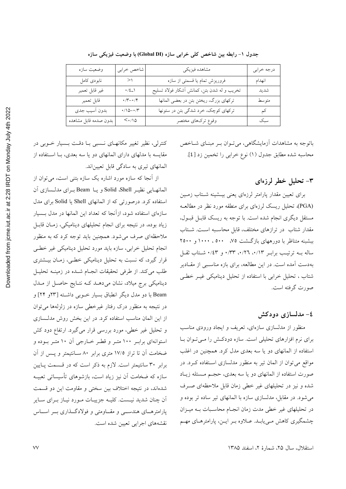| وضعيت سازه            | شاخص خرابي                                                                                                            | مشاهده فيزيكي                               | درجه خرابي |
|-----------------------|-----------------------------------------------------------------------------------------------------------------------|---------------------------------------------|------------|
| نابودي كامل           | >                                                                                                                     | فروریزش تمام یا قسمتی از سازه               | انهدام     |
| غير قابل تعمير        | $\cdot/\xi_{-}\backslash$                                                                                             | تخریب و له شدن بتن، کمانش أشکار فولاد تسلیح | شديد       |
| قابل تعمير            | $\boldsymbol{\cdot}\,/\boldsymbol{\Upsilon}\!-\!\boldsymbol{\cdot}\,/\boldsymbol{\Upsilon}$                           | تركهاي بزرگ، ريختن بتن در بعضي المانها      | متوسط      |
| بدون أسيب جدى         | $\boldsymbol{\cdot} \mathop{/} \mathop{/} \mathop{\mathsf{O}} \mathop{-\!\!\!\!\cdot} \mathop{/} \mathop{\mathsf{r}}$ | ترکهای کوچک، خرد شدگی بتن در ستونها         | کم         |
| بدون صدمه قابل مشاهده | $<$ ./10                                                                                                              | وقوع تركهاي مختصر                           | سبک        |

جدول ١- رابطه بين شاخص كلي خرابي سازه (Global DI) با وضعيت فيزيكي سازه

باتوجه به مشاهدات آزمایشگاهی، می تـوان بـر مبنـای شـاخص محاسبه شده مطابق جدول (١) نوع خرابي را تخمين زد [٤].

### ۳– تحلیل خطر لرزهای

برای تعیین مقدار یارامتر لرزهای یعنی بیـشینه شـتاب زمـین (PGA)، تحلیل ریسک لرزهای برای منطقه مورد نظر در مطالعـه مستقل دیگری انجام شده است. با توجه به ریسک قابـل قبـول، مقدار شتاب در ترازهای مختلف، قابل محاسبه است. شتاب ببشبنه متناظر با دورههای بازگشت ۷۵، ۵۰۰، ۱۰۰۰ و ۲۵۰۰ ساله بــه ترتيـب برابـر ٠/١٣، ٠/٢٦، ٠/٣٣، و ٠/٤٣. شــتاب ثقــل .<br>بهدست آمده است. در این مطالعه، برای بازه مناسـبی از مقــادیر شتاب ، تحلیل خرابی با استفاده از تحلیل دینامیکی غیـر خطـی صورت گرفته است.

#### ٤- مدلسازي دودکش

منظور از مدلسازی سازهای، تعریف و ایجاد ورودی مناسب برای نرم افزارهای تحلیلی است. سازه دودکش را میتوان با استفاده از المانهای دو یا سه بعدی مدل کرد. همچنین در اغلب مواقع می توان از المان تیر به منظور مدلسازی استفاده کرد. در صورت استفاده از المانهای دو یا سه بعدی، حجـم مـسئله زیـاد شده و نیز در تحلیلهای غیر خطی زمان قابل ملاحظهای صـرف می شود. در مقابل، مدلسازی سازه با المانهای تیر ساده تر بوده و در تحلیلهای غیر خطی مدت زمان انجـام محاسـبات بـه میـزان چشمگیری کاهش مےپابـد. عـلاوه بـر ایــن، پارامترهـای مهـم

کنترلی، نظیر تغییر مکانهـای نـسبی بـا دقـت بـسیار خـوبی در مقایسه با مدلهای دارای المانهای دو یا سه بعدی، بـا استفاده از المانهای تیری به سادگی قابل تعیین اند.

از آنجا که سازه مورد اشاره یک سازه بتنی است، می توان از العانهايي نظيـر Solid ،Shell و يــا Beam بـراي مدلـسازي آن استفاده کرد. درصورتی که از المانهای Shell یا Solid برای مدل سازهای استفاده شود، ازآنجا که تعداد این المانها در مدل بـسیار زیاد بوده، در نتیجه برای انجام تحلیلهای دینامیکی، زمـان قابـل ملاحظهای صرف می شود. همچنین باید توجه کرد که به منظور انجام تحلیل خرابی، سازه باید مورد تحلیل دینامیکی غیر خطبی قرار گیرد، که نسبت به تحلیل دینامیکی خطبی، زمـان بیـشتری طلب مي كند. از طرفي تحقيقات انجـام شـده در زمينـه تحليـل دینامیکی برج میلاد، نشان میدهـد کـه نتـایج حاصـل از مـدل Beam با دو مدل دیگر انطباق بسیار خـوبی داشـته [۲۳و ۲۴] و در نتیجه به منظور درک رفتار غیرخطی سازه در زلزلهها می توان از این المان مناسب استفاده کرد. در این بخش روش مدلـسازی و تحلیل غیر خطی، مورد بررسی قرار می گیرد. ارتفاع دود کش استوانهای برابـر ۱۰۰ متـر و قطـر خــارجی آن ۱۰ متـر بـوده و ضخامت آن تا تراز ۱۷/۵ متری برابر ۸۰ سـانتیمتر و پـس از آن برابر ۳۰ سانتیمتر است. لازم به ذکر است که در قسمت پایین سازه که ضخامت آن نیز زیاد است، بازشوهای تأسیساتی تعبیــه .<br>شدهاند، در نتیجه اختلاف بین سختی و مقاومت این دو قسمت اّن چنان شدید نیـست. کلیـه جزییـات مـورد نیـاز بـرای سـایر پارامترهــای هندســی و مقــاومتی و فولادگــذاری بــر اســاس نقشههای اجرایی تعیین شده است.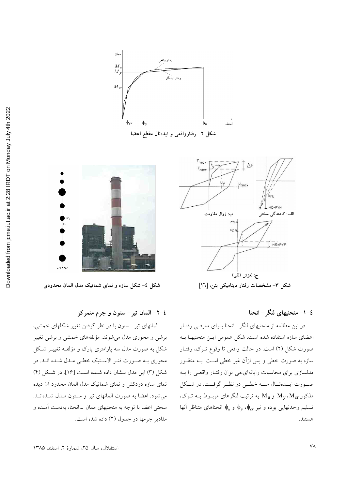

شکل ۲- رفتارواقعی و ایدهئال مقطع اعضا



#### ٤-١- منحنيهاي لنگر - انحنا

در این مطالعه از منحنیهای لنگر–انحنا بـرای معرفـی رفتـار اعضای سازه استفاده شده است. شکل عمومی ایـن منحنیهـا بـه صورت شکل (۲) است. در حالت واقعی تا وقوع تـرک، رفتـار سازه به صورت خطی و پس ازآن غیر خطی است. بـه منظـور مدلسازی برای محاسبات رایانهای،می توان رفتـار واقعـی را بـه صورت ايــدهئــال ســه خطــى در نظــر گرفــت. در شــكل مذکور M<sub>v</sub>،M<sub>cr</sub> و M<sub>u</sub> به ترتیب لنگرهای مربـوط بــه تــرک، تسليم وحدنهايي بوده و نيز  $\phi_v$ ،  $\phi_{cr}$  و  $\phi_u$  انحناهای متناظر آنها هستند.



شکل ٤- شکل سازه و نمای شماتیک مدل المان محدودی

٤-٢- المان تير- ستون و جرم متمركز

المانهای تیر- ستون با در نظر گرفتن تغییر شکلهای خمشی، برشی و محوری مدل میشوند. مؤلفههای خمشی و برشی تغییر شکل به صورت مدل سه پارامتری پارک و مؤلف تغییــر شـکل محوري بـه صـورت فنـر الاسـتيک خطـي مـدل شـده انـد. در شکل (۳) این مدل نــشان داده شــده اسـت [۱۶]. در شــکل (۴) نمای سازه دودکش و نمای شماتیک مدل المان محدود آن دیده می شود. اعضا به صورت المانهای تیر و ستون ملدل شدهاند. سختی اعضا با توجه به منحنیهای ممان \_انحنا، بهدست آمـده و مقادیر جرمها در جدول (۲) داده شده است.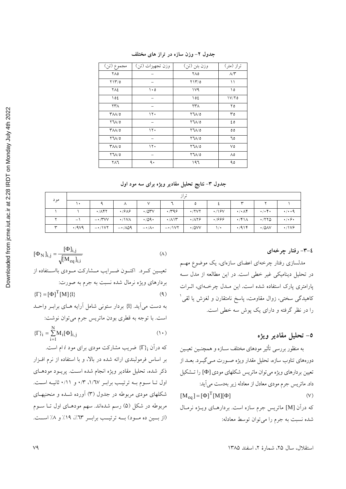| مجموع (تن)                                     | وزن تجهيزات (تن) | وزن بتن (تن)                  | تراز (متر)        |
|------------------------------------------------|------------------|-------------------------------|-------------------|
| ٢٨٥                                            |                  | ۲۸٥                           | $\wedge/\Upsilon$ |
| $Y \mathcal{Y} / \mathcal{O}$                  |                  | $Y \mathcal{Y} / \mathcal{O}$ | $\setminus$       |
| ٢٨٤                                            | ۱۰٥              | 1 <sup>V</sup>                | ۱٥                |
| ۱٥٤                                            |                  | ، ۱۵٤                         | $1 V/Y$ 0         |
| ۲۳۸                                            |                  | ٢٣٨                           | ۲٥                |
| $\mathsf{r}_{\mathsf{A}\mathsf{A}/\mathsf{O}}$ | $\mathcal{N}$    | 771/0                         | ٣٥                |
| $Y^{\dagger}$ 1/0                              |                  | $YU/\mathfrak{o}$             | ٤٥                |
| $\mathsf{r}_{\mathsf{A}\mathsf{A}/\mathsf{O}}$ | 17.              | $YU/\mathfrak{o}$             | $\circ$           |
| $Y^{\dagger}$ 1/0                              |                  | $Y^{\dagger}$ 1/0             | ٦٥                |
| $\Upsilon\Lambda\Lambda/\delta$                | ۱۲۰              | $Y^{\dagger}$ 1/0             | ٧٥                |
| $Y^{\dagger}$ 1/0                              |                  | 771/0                         | ٨٥                |
| ۲۸٦                                            | ٩.               | ۱۹٦                           | ۹٥                |

جدول ۲- وزن سازه در تراز های مختلف

جدول ۳- نتایج تحلیل مقادیر ویژه برای سه مود اول

| مود        |                     |                                          |                       |                  |                 | تراز         |              |                                |                           |                               |
|------------|---------------------|------------------------------------------|-----------------------|------------------|-----------------|--------------|--------------|--------------------------------|---------------------------|-------------------------------|
|            |                     |                                          | л                     |                  |                 | ٥            |              | $\check{}$                     |                           |                               |
|            |                     | $\cdot$ / $\wedge$ $\uparrow$ $\uparrow$ | $\cdot$ /9 $\wedge$ 9 | $\cdot$ /0۳ $V$  | .799            | $\cdot$ /۲۷۲ | $\cdot$ /16V | $\cdot/\cdot \wedge \check{r}$ | $\cdot/\cdot$ .           | $\cdot/\cdot\cdot$ 9          |
|            | - 1                 | $- \cdot$ /۳۷۷                           | $\cdot$ /\VA          | .709.            | $\cdot/\lambda$ | $\cdot$ /179 | .7999        | $\cdot$ /۴۱۸                   | .7770                     | $\cdot/\cdot$ $\circ$ $\cdot$ |
| $\check{}$ | $\cdot$ /9 $\vee$ 9 | $ \cdot$ / $\vee$ $\tau$                 | $-1/\lambda\Delta$ 9  | $-\cdot/\lambda$ | $-\cdot/1V$     | $\cdot$ /0VV | ۱/۰          | .7914                          | $\cdot$ /0 $\land$ $\lor$ | $\cdot$ /1 $\vee$ ۶           |

٤–٣– رفتار چرخهای

مدلسازی رفتار چرخهای اعضای سازهای، یک موضوع مهم در تحلیل دینامیکی غیر خطی است. در این مطالعه از مدل سـه پارامتری پارک استفاده شده است. این مـدل چرخـهای، اثـرات کاهیدگ<sub>ی</sub> سختی، زوال مقاومت، پاسخ نامتقارن و لغزش یا لقی <sup>۱</sup> را در نظر گرفته و دارای یک یوش سه خطی است.

## ٥- تحليل مقادير ويژه

به منظور بررسی تأثیر مودهای مختلف سـازه و همچنـین تعیـین دورههاي تناوب سازه، تحليل مقدار ويژه صـورت مـي گيــرد. بعــد از تعیین بردارهای ویژه می توان ماتریس شکلهای مودی [Ф] را تــشکیل داد. ماتریس جرم مودی معادل از معادله زیر بهدست می آید:  $[M_{eq}] = [\Phi]^T [M][\Phi]$  $(V)$ كه درآن [M] ماتريس جرم سازه است. بردارهـاي ويـژه نرمـال شده نسبت به جرم را می توان توسط معادله:

\n
$$
[\Phi_N]_{i,j} = \frac{[\Phi]_{i,j}}{\sqrt{[M_{eq}]_{i,i}}}
$$
\n

\n\n (A)\n

\n\n (B)\n

\n\n (C)\n

\n\n (D)\n

\n\n (D)\n

\n\n (E)\n

\n\n (E)\n

\n\n (D)\n

\n\n (E)\n

\n\n (E)\n

\n\n (E)\n

\n\n (E)\n

\n\n (E)\n

\n\n (E)\n

\n\n (E)\n

\n\n (E)\n

\n\n (E)\n

\n\n (E)\n

\n\n (E)\n

\n\n (E)\n

\n\n (E)\n

\n\n (E)\n

\n\n (E)\n

\n\n (E)\n

\n\n (E)\n

\n\n (E)\n

\n\n (E)\n

\n\n (E)\n

\n\n (E)\n

\n\n (E)\n

\n\n (E)\n

\n\n (E)\n

\n\n (E)\n

\n\n (E)\n

\n\n (E)\n

\n\n (E)\n

\n\n (E)\n

\n\n (E)\n

\n\n (E)\n

\n\n (E)\n

\n\n (E)\n

\n\n (E)\n

\n\n (E)\n

\n\n (E)\n

\n\n (E)\n

\n\n (E)\n

\n\n (E)\n

\n\n (E)\n

\n\n (E)\n

\n\n (E)\n

\n\n (E)\n

\n\n (E)\n

\n\n (E)\n

\n\n (E)\n

\n\n (E)\n

\n\n (E)\n

\n\n (E)\n

\n\n (E)\n

\n\n (E)\n

\n\n (E)\n

که درآن  $\{\Gamma\}_\mathbf{i}$  ضریب مشارکت مودی برای مود i ام است. بر اساس فرمولبندی ارائه شده در بالا، و با استفاده از نرم افـزار ذکر شده، تحلیل مقادیر ویژه انجام شده است. پریـود مودهـای اول تـا سـوم بـه ترتيب برابـر ١/٦٧، ٠/٣ و ٠/١١ ثانيـه اسـت. شکلهای مودی مربوطه در جدول (۳) آورده شـده و منحنیهـای مربوطه در شکل (۵) رسم شدهاند. سهم مودهـای اول تـا سـوم (از بسین ده مسود) بسه ترتیسب برابسر ٦٣٪، ١٩٪ و ٨٪ اسست.

استقلال، سال ٢۵، شمارة ٢، اسفند ١٣٨۵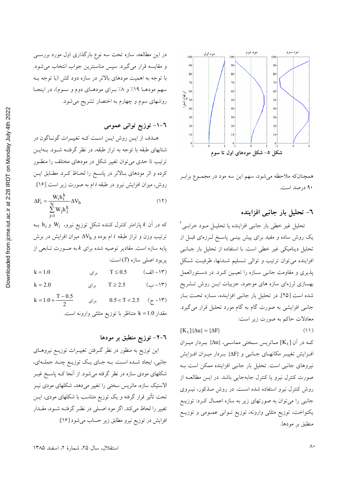

همچنانکه ملاحظه میشود، سهم این سه مود در مجمـوع برابـر ۹۰ درصد است.

#### ٦- تحليل بار جانبي افزاينده

تحلیل غیر خطی بار جانبی افزاینده یا تحلیــل مــود خرابــی<sup>۲</sup> یک روش ساده و مفید برای پیش بینـی پاسـخ لــرزهای قبــل از تحلیل دینامیکی غیر خطی است. با استفاده از تحلیل بار جـانبی افزاینده می توان ترتیب و توالی تـسلیم شـدنها، ظرفیـت شـکل پذیری و مقاومت جانبی سـازه را تعیـین کـرد. در دســتورالعمل بهسازی لرزهای سازه های موجود، جزییات ایــن روش تــشریح شده است [٢٥]. در تحليل بار جانبي افزاينده، سـازه تحت بـار جانبی افزایشی به صورت گام به گام مورد تحلیل قرار می گیرد. معادلات حاکم به صورت زیر است:

 $(11)$  $[K_{\dagger}]\{\Delta u\} = \{\Delta F\}$ كه در آن [K<sub>t</sub>] ماتريس سختى مماسى، {Δu} بردار ميزان افزايش تغييـر مكانهـاي جـانبي و {ΔF} بـردار ميـزان افـزايش نیروهای جانبی است. تحلیل بار جانبی افزاینده ممکن است بـه صورت کنترل نیرو یا کنترل جابهجایی باشد. در ایـن مطالعـه از روش کنترل نیرو استفاده شده است. در روش مـذکور، نیــروی

جانبی را میتوان به صورتهای زیر به سازه اعمـال کـرد: توزیــع یکنواخت، توزیع مثلثی وارونه، توزیع تـوانی عمـومی و توزیــع منطبق بر مودها.

در این مطالعه، سازه تحت سه نوع بارگذاری اول مورد بررســی و مقايسه قرار مي گيرد. سپس مناسبترين جواب انتخاب مي شود. با توجه به اهمیت مودهای بالاتر در سازه دود کش (با توجه بـه سهم مودهـا ۱۹٪ و ۸٪ بـرای مودهـای دوم و سـوم)، در اینجـا روشهای سوم و چهارم به اختصار تشریح می شود.

#### ٦–١– توزيع تواني عمومي

هـدف از ايــن روش ايــن اسـت كــه تغييــرات گونــاگون در شتابهای طبقه با توجه به تراز طبقه، در نظر گرفتـه شـود. بـهایــن ترتیب تا حدی میتوان تغییر شکل در مودهای مختلف را منظـور كرده و اثر مودهاي بـالاتر در پاسـخ را لحـاظ كـرد. مطـابق ايــن روش، میزان افزایش نیرو در طبقه i ام به صورت زیر است [۱۶]:  $W<sub>i</sub>h<sup>k</sup>$ 

$$
\Delta F_i = \frac{N}{\sum_{j=1}^{N} W_j h_j^k} \Delta V_b \tag{17}
$$

که در آن  $k$  پارامتر کنترل کننده شکل توزیع نیرو،  $W_i$  و  $h_i$  بــه ترتیب وزن و تراز طبقه i ام بوده و  $\Delta\rm V_b$  میزان افزایش در برش پایه سازه است. مقادیر توصیه شده برای  $k$ به صـورت تـابعی از پريود اصلي سازه (T) است:

(١٣- الف)  $k = 1.0$  $T \leq 0.5$ بر ای  $($ ۱۳ $-1$ ب)  $k = 2.0$ بر ای  $T \geq 2.5$  $k = 1.0 + \frac{T - 0.5}{2}$  $0.5 < T < 2.5$  $(\tau - \mathcal{N})$ براي مقدار 1.0 k = متناظر با توزيع مثلثي وارونه است.

#### ٦–٢– توزيع منطبق بر مودها

این توزیع به منظور در نظر گـرفتن تغییــرات توزیــع نیروهــای جانبي، ايجاد شـده اسـت. بــه جـاي يـك توزيــع چنـد جملــهاي، شکلهای مودی سازه در نظر گرفته میشود. از آنجا کـه پاسـخ غیــر الاستیک سازه، ماتریس سختی را تغییر میدهد، شکلهای مودی نیـز تحت تأثیر قرار گرفته و یک توزیع متناسب با شکلهای مودی، ایــن تغییر را لحاظ میکند. اگر مود اصـلی در نظـر گرفتـه شـود، مقـدار افزایش در توزیع نیرو مطابق زیر حساب می شود [۱۶]: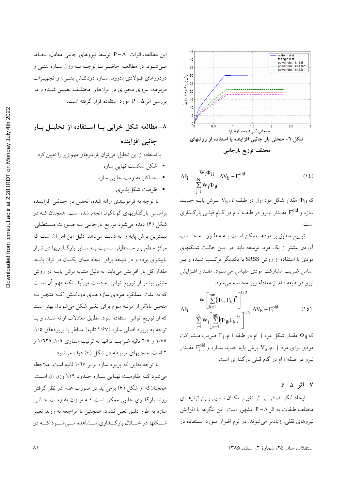

$$
\Delta F_i = \frac{W_i \Phi_{i1}}{\sum_{i=1}^{N} W_j \Phi_{j1}} \Delta V_b - F_i^{old}
$$
 (12)

که  $\Phi_{i1}$  مقدار شکل مود اول در طبقـه  $V_{\rm b}$  بـرش پایـه جدیـد سازه و Fi<sup>old</sup> مقــدار نيــرو در طبقــه i ام در گــام قبلــي بارگــذاري است.

توزیع منطبق بر مودها ممکن است بـه منظـور بـه حـساب آوردن بیشتر از یک مود، توسعه یابد. در ایـن حالـت شـكلهای مودی با استفاده از روش SRSS با یکدیگر ترکیب شـده و بـر اساس ضریب مشارکت مودی مقیاس می شـود. مقـدار افـزایش نيرو در طبقه i ام از معادله زير محاسبه مي شود:

$$
\Delta F_i = \frac{W_i \left[ \sum_{k=1}^{nm} (\Phi_{ik} \Gamma_k)^2 \right]^{1/2}}{\sum_{j=1}^{n} W_j \left[ \sum_{k=1}^{nm} (\Phi_{jk} \Gamma_k)^2 \right]^{1/2}} \Delta V_b - F_i^{\text{old}}
$$
(10)

که  $\Phi_{ij}$  مقدار شکل مود j ام در طبقه i ام،  $\Gamma_{\rm i}$  ضریب مــشارکت مودی برای مود j ام، V<sub>b </sub> برش پایه جدید ســازه و F $_{\rm i}^{\rm old}$  مقــدار نیرو در طبقه i ام در گام قبلی بارگذاری است.

 $P - \Delta$  اڻه  $-V$ 

ایجاد لنگر اضافی بر اثر تغییـر مکـان نـسبی بـین ترازهـای مختلف طبقات به اثر P−∆ مشهور است. این لتگرها با افزایش نیروهای ثقلی، زیادتر می شوند. در نرم افـزار مـورد اسـتفاده در

اين مطالعه، اثرات ∆−P توسط نيروهاي جانبي معادل، لحـاظ مـی شـود. در مطالعــه حاضـر بــا توجــه بــه وزن ســازه بتنــی و دودروهای فولادی (درون سازه دودکش بتنبی) و تجهیزات مربوطه، نیروی محوری در ترازهای مختلـف تعیـین شـده و در بررسی اثر P – A مورد استفاده قرار گرفته است.

# ۸- مطالعه شکل خرابی بــا اســتفاده از تحليــل بــار جانبي افزاينده

با استفاده از این تحلیل، میتوان پارامترهای مهم زیر را تعیین کرد:

- شکل شکست نهایی سازه
- حداكثر مقاومت جانبي سازه
	- ظرفيت شكل يذيري

با توجه به فرمولبندي ارائه شده، تحليل بار جـانبي افزاينــده براساس بارگذاریهای گوناگون انجام شده است. همچنان کـه در شکل (۶) دیده میشود توزیع بارجانبی بـه صـورت مــستطیلی، بیشترین برش پایه را به دست میدهد. دلیل این امر آن است که مرکز سطح بار مـستطیلی نـسبت بـه سـایر بارگـذاریها در تـراز پایینتری بوده و در نتیجه برای ایجاد ممان یکسان در تراز پایــه، مقدار کل بار افزایش می یابد. به دلیل مشابه برش پایــه در روش مثلثی بیشتر از توزیع توانی به دست میآید. نکته مهم آن است که به علت عملکرد طرهای سازه هـای دودکـش (کـه منجـر بـه منحنی بالاتر از مرتبه سوم برای تغییر شکل میشود)، بهتر است که از توزیع توانی استفاده شود. مطابق معادلات ارائه شـده و بـا توجه به پریود اصلی سازه (۱/۶۷ ثانیه) متناظر با پریودهای ۱/۵. ١/٧٥ و ٢/٥ ثانيه ضرايب توانها به ترتيب مساوى ١/٥، ١/٦٢٥ و ۲ است. منحنیهای مربوطه در شکل (۶) دیده می شود.

با توجه بهاین که پریود سازه برابر ۱/٦٧ ثانیه است، ملاحظه می شود کـه مقاومـت نهـایی سـازه حـدود ١٩٪ وزن آن اسـت. همچنانکه از شکل (۶) برمی آید در صورت عدم در نظر گرفتن روند بارگذاری جانبی ممکن است ک ممیزان مقاومت جـانبی سازه به طور دقیق تعین نشود. همچنین با مراجعه به روند تغییر شـــکلها در خــــلال بارگـــذاری مـــشاهده مــــی شـــود کـــه در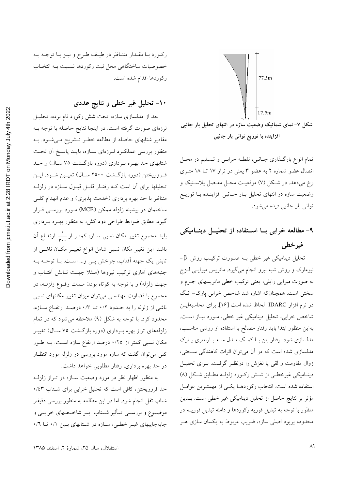

افزاینده با توزیع توانی بار جانبی

تمام انواع بارگـذاری جـانبی، نقطـه خرابـی و تـسليم در محـل اتصال عضو شماره ٢ به عضو ٣ يعني در تراز ١٧ تــا ١٨ متـرى رخ میدهد. در شکل (۷) موقعیت محـل مفـصل پلاسـتیک و وضعیت سازه در انتهای تحلیل بـار جـانبی افزاینـده بـا توزیـع توانی بار جانبی دیده می شود.

۹- مطالعه خرابی بــا اســتفاده از تحليــل دينــاميكى غير خطي

-β تحلیل دینامیکی غیر خطی بـه صـورت ترکیـب روش β نیومارک و روش شبه نیرو انجام میگیرد. ماتریس میرایـی لــزج به صورت میرایی رایلی، یعنی ترکیب خطی ماتریسهای جــرم و سختی است. همچنانکه اشاره شد شاخص خرابی پارک- انگ در نرم افزار IDARC لحاظ شده است [۱۶]. برای محاسبهایــن شاخص خرابی، تحلیل دینامیکی غیر خطی، مـورد نیـاز اسـت. بهاین منظور ابتدا باید رفتار مصالح با استفاده از روشی مناسـب، مدلسازی شود. رفتار بتن بـا کمـک مـدل سـه پـارامتری پـارک مدلسازی شده است که در آن می توان اثرات کاهندگی سختی، زوال مقاومت و لقى يا لغزش را درنظـر گرفـت. بــراى تحليــل دینـامیکی غیرخطـی از شـش رکـورد زلزلـه مطـابق شـکل (۸) استفاده شده است. انتخاب رکوردهـا یکـی از مهمتـرین عوامـل مؤثر بر نتایج حاصل از تحلیل دینامیکی غیر خطی است. بــدین منظور با توجه به تبدیل فوریه رکوردها و دامنه تبدیل فوریــه در محدوده پریود اصلی سازه، ضریب مربوط به یکسان سازی هـر

ركورد با مقـدار متنـاظر در طيـف طـرح و نيـز بـا توجـه بـه خصوصیات ساختگاهی محل ثبت رکوردها نـسبت بـه انتخـاب ركوردها اقدام شده است.

## ۱۰– تحلیل غیر خطی و نتایج عددی

بعد از مدلسازی سازه، تحت شش رکورد نام برده، تحلیـل لرزهای صورت گرفته است. در اینجا نتایج حاصله با توجه بـه مقادیر شتابهای حاصله از مطالعه خطـر تـشریح مـیشـود. بـه منظور بررسی عملکرد لـرزهای سـازه، بایـد پاسـخ أن تحـت شتابهای حد بهـره بـرداری (دوره بازگــشت ۷۵ ســال) و حــد ف ووريختن (دوره بازگشت ۲۵۰۰ ســال) تعيــين شــود. ايــن تحلیلها برای آن است کـه رفتـار قابـل قبـول سـازه در زلزلـه متناظر با حد بهره برداری (خدمت پذیری) و عدم انهدام کلـی ساختمان در بیشینه زلزله ممکن (MCE) مـورد بررســی قــرار گیرد. مطابق ضوابط طراحی دود کش، به منظور بهـره بـرداری باید مجموع تغییر مکان نسبی سـازه کمتـر از ۱ٖ— ارتفــاع آن باشد. این تغییر مکان نسبی شامل انواع تغییــر مکــان ناشــی از تابش یک جهته آفتاب، چرخش پــی و… اســت. بــا توجــه بــه جنبههای اَماری ترکیب نیروها (مـثلا جهـت تــابش اَفتــاب و جهت زلزله) و با توجه به کوتاه بودن مــدت وقــوع زلزلــه، در مجموع با قضاوت مهندسی می توان میزان تغییر مکانهای نسبی ناشی از زلزله را به حـدود ۰/۲ تــا ۰/۳ درصــد ارتفــاع ســازه، محدود کرد. با توجه به شکل (۹) ملاحظه میشود که در تمام زلزلههای تراز بهره بـرداری (دوره بازگـشت ۷۵ سـال) تغییـر مکان نسبی کمتر از ۰/۲۵ درصد ارتفاع سازه است. بـه طـور کلبی می توان گفت که سازه مورد بررسی در زلزله مورد انتظـار در حد بهره برداري، رفتار مطلوبي خواهد داشت.

به منظور اظهار نظر در مورد وضعیت سـازه در تــراز زلزلــه حد فروریختن، کافی است که تحلیل خرابی برای شـتاب ۰/٤٣ شتاب ثقل انجام شود. اما در این مطالعه به منظور بررسی دقیقتر موضـوع و بررســي تــأثير شــتاب بــر شاخــصهاى خرابــي و جابهجاییهای غیر خطی، سازه در شتابهای بین ۰/۱ تا ۰/٦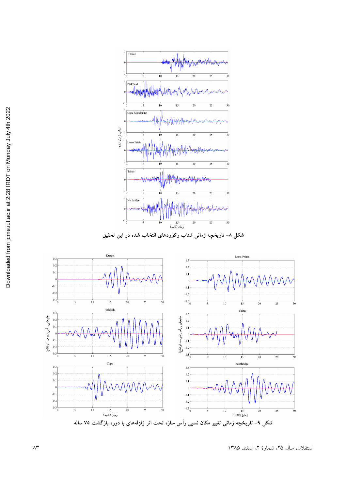

شکل ۸– تاریخچه زمانی شتاب رکوردهای انتخاب شده در این تحقیق



استقلال، سال ۲۵، شمارهٔ ۲، اسفند ۱۳۸۵ محمد استقلال به اسفند ۱۳۸۵ محمد استقلال استقلال استقلال استقلال استقلال ا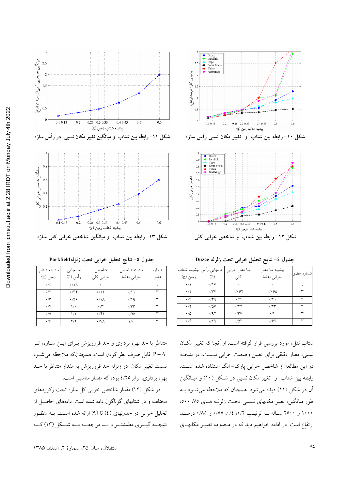



شکل ۱۰- رابطه بین شتاب ًو تغییر مکان نسبی رأس سازه



جدول ٤- نتايج تحليل خرابي تحت زلزله Duzce

|                   |                            | شاخص خرابي  جابجايي رأس بيشينه شتاب | بيشينه شاخص | شماره عضو   |
|-------------------|----------------------------|-------------------------------------|-------------|-------------|
| زمین (g)          | $\left(\frac{1}{2}\right)$ | کلے                                 | خرابى اعضا  |             |
| $\cdot/$          | $\cdot$ /\V                |                                     |             |             |
| $\cdot$ /۲        | $\cdot$ / $\gamma$         | $\cdot$ / $\cdot$ ۶۴                | ۰/۰۶۵       | $\check{ }$ |
| $\cdot$ / $\cdot$ | $\cdot$ /۴۹                | $\cdot$ / $\gamma$                  | ۰/۲۱        | ٣           |
| $\cdot$ /۴        | $\cdot$ /0V                | $\cdot$ /۲۲                         | ۰/۲۳        | ٣           |
| $\cdot/\Delta$    | .791                       | $\cdot$ / $\vee$                    | $\cdot$ /۴  | $\check{}$  |
| $\cdot$ /۶        | ۱/۲۹                       | $\cdot$ /0۲                         | $\cdot$ /۶۲ | w           |

شتاب ثقل، مورد بررسی قرار گرفته است. از آنجا که تغییر مکـان نسبی، معیار دقیقی برای تعیین وضعیت خرابی نیست، در نتیجـه در این مطالعه از شاخص خرابی پارک– انگ استفاده شده است. رابطه بین شتاب و تغییر مکان نسبی در شکل (١٠) و میـانگین آن در شکل (١١) دیده میشود. همچنان که ملاحظه می شود بـه طور میانگین، تغییر مکانهای نسبی تحت زلزلـه هـای ۷۵، ۵۰۰، ۱۰۰۰ و ۲۵۰۰ ساله بــه ترتیــب ۰/۲، ۰/٤، ۱۵۵۰ و ۰/۸۵ درصــد ارتفاع است. در ادامه خواهیم دید که در محدوده تغییـر مکانهـای

جدول ٥- نتايج تحليل خرابي تحت زلزلهParkfield

| بيشينه شتاب       | جابجايى                         | شاخص             | بيشينه شاخص        | شماره |
|-------------------|---------------------------------|------------------|--------------------|-------|
| زمین (g)          | رأس (٪)                         | خرابي كلي        | خرابى اعضا         | عضو   |
| $\cdot/$          | $\cdot/\lambda$                 |                  |                    |       |
| $\cdot$ /٢        | $\cdot$ / $\uparrow$ $\uparrow$ | $\cdot$ /\\      | $\cdot$ /١١        | ٣     |
| $\cdot$ / $\cdot$ | ۰٬۴۶                            | $\cdot/\lambda$  | $\cdot$ /19        | ۳     |
| $\cdot$ /۴        | ۱۰                              | $\cdot$ / $\sim$ | $\cdot$ / $\gamma$ | ٣     |
| $\cdot/\Delta$    | ۱۸                              | $\cdot$ /۴۱      | $\cdot$ /00        | ٣     |
| $\cdot$ /۶        | $\Upsilon/\Upsilon$             | $\cdot$ /VA      | $\mathcal{N}$      |       |

متناظر با حد بهره برداری و حد فروریزش بـرای ایـن سـازه، اثـر قابل صرف نظر كردن است. همچنانكه ملاحظه مى شـود P- $\Delta$ نسبت تغییر مکان در زلزله حد فروریزش به مقدار متناظر با حـد بهره برداری، برابر ٤/٢٥ بوده كه مقدار مناسبي است.

در شکل (۱۲) مقدار شاخص خرابی کل سازه تحت رکوردهای مختلف و در شتابهای گوناگون داده شده است. دادههای حاصـل از تحلیل خرابی در جدولهای (٤) تا (٩) ارائه شده است. بـه منظـور نتیجــه گیــری مطمئنتــر و بــا مراجعـــه بـــه شــكل (١٣) كــه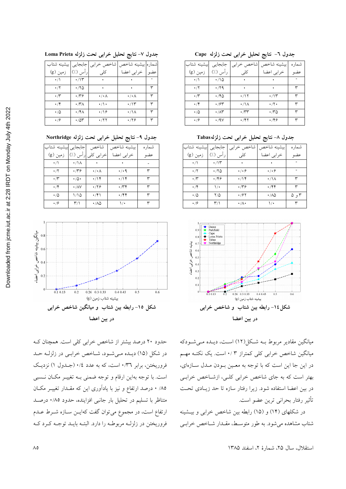|            |                     | ل   شاخص خرابي   جابجايي   بيشينه شتاب | شماره بيشينه شاخص |     |
|------------|---------------------|----------------------------------------|-------------------|-----|
| زمین (g)   | راس (./)            | کلی                                    | خرابى اعضا        | عضو |
| $\cdot/$   | ۰/۱۳                |                                        |                   |     |
| $\cdot$ /۲ | ۰/۲۵                |                                        |                   | ٣   |
| $\cdot$ /۳ | ۰٬۳۶                | ۰/۰۸                                   | ۰/۰۸              | ٣   |
| $\cdot$ /۴ | $\cdot$ /۳ $\wedge$ | $\cdot/\rangle$ .                      | ۰/۱۳              | ٣   |
| ۰٬۵        | ۰/۴۸                | ۰٬۱۶                                   | ۰/۱۸              | ٣   |
| .19        | $\cdot$ /0۳         | $\cdot$ /۲۲                            | ۰/۲۶              |     |

#### جدول ۷- نتایج تحلیل خرابی تحت زلزله Loma Prieta

جدول ۹- نتايج تحليل خرابي تحت زلزله Northridge

| جابجايي بيشينه شتاب |                     | شاخص      | بيشينه شاخص         | شمار ه |
|---------------------|---------------------|-----------|---------------------|--------|
| زمین (g)            | راس (./)            | خرابي كلي | خرابی اعضا          | عضو    |
| $\cdot/$            | $\cdot$ /\ $\wedge$ |           |                     |        |
| $\cdot$ /۲          | $\cdot$ /۳۶         | ۰/۰۸      | $\cdot$ / $\cdot$ 9 | ٣      |
| $\cdot$ /۳          | ۰۵۰                 | ۰/۱۴      | $\cdot$             | ٣      |
| $\cdot$ /۴          | $\cdot$ /AV         | .799      | ۳۴۰.                | ٣      |
| ۰/۵                 | ۱٬۱۵                | ۰/۴۱      | ۰/۴۴                | ٣      |
| $\cdot$ /9          | ۳۱۱                 | ۰/۸۵      | ۱۰                  | ٣      |
|                     |                     |           |                     |        |



حدود ۲۰ درصد بیشتر از شاخص خرابی کلی است. همچنان ک در شکل (۱۵) دیـده مـیشـود، شـاخص خرابـی در زلزلـه حـد فروریختن، برابر ۰/۳٦ است، که به عدد ۰/٤ (جــدول ۱) نزدیــک است. با توجه بهاین ارقام و توجه ضمنی بـه تغییـر مکـان نــسبی ۸۵/ ۰ درصد ارتفاع و نیز با یادآوری این که مقـدار تغییـر مکـان متناظر با تسلیم در تحلیل بار جانبی افزاینده، حدود ۰/۸٥ درصـد ارتفاع است، در مجموع می توان گفت کهایــن ســازه شــرط عــدم فروریختن در زلزلـه مربوطـه را دارد. البتـه بایـد توجـه کـرد کـه

|  |  |  | جدول ٦- نتايج تحليل خرابي تحت زلزله Cape |  |  |  |  |
|--|--|--|------------------------------------------|--|--|--|--|
|--|--|--|------------------------------------------|--|--|--|--|

| لىشىنە شتاب |                        | شاخص خرابي   جابجايي | بيشينه شاخص        | شماره |
|-------------|------------------------|----------------------|--------------------|-------|
| زمین (g)    | راس (٪)                | کلی ِ                | خرابی اعضا         | عضه   |
| $\cdot/$    | ۰/۱۵                   |                      |                    |       |
| $\cdot$ /۲  | ۰/۲۹                   |                      |                    | ٣     |
| $\cdot$ /۳  | ۱٬۴۵                   | ۰/۱۲                 | ۰/۱۳               | ٣     |
| $\cdot$ /۴  | $\cdot$ /۶۳            | $\cdot/\Lambda$      | $\cdot$ /٢ $\cdot$ | ٣     |
| ۰٬۵         | $\cdot$ / $\wedge\tau$ | $\cdot$ / $\gamma$   | ۱۳۵                | ٣     |
| $\cdot$ /۶  | $\cdot$ /9 $\vee$      | ۰/۴۲                 | ۰٬۴۶               | ٣     |

جدول ٨- نتايج تحليل خرابي تحت زلزلهTabas

| بيشينه شتاب    | جابجايى | شاخص خرابي          | بيشينه شاخص     | شمار ه |
|----------------|---------|---------------------|-----------------|--------|
| زمین (g)       | رأس (٪) | کلی                 | خرابی اعضا      | عضو    |
| $\cdot/$       | $\cdot$ |                     |                 |        |
| $\cdot$ /٢     | ۱٬۲۵    | $\cdot$ / $\cdot$ 6 | .49             |        |
| $\cdot$ /۳     | .799    | $\cdot$ /۱۴         | $\cdot/\lambda$ | ٣      |
| $\cdot$ /۴     | ۱۰      | ۰٬۳۶                | ۰/۴۴            | ٣      |
| $\cdot/\Delta$ | ۲/۵     | $\cdot$ /67         | ۰/۸۵            | ۲ و ۵  |
| $\cdot$ /9     | ۳۱۱     | ۰/۸۰                | ۱۰              | ٣      |



میانگین مقادیر مربوط بـه شـکل(۱۲) اسـت، دیــده مــیشــودکه میانگین شاخص خرابی کلی کمتراز ۰/۳ است. یک نکتـه مهـم در این جا این است که با توجه به معـین بـودن مـدل سـازهای، بهتر است که به جای شاخص خرابی کلـی، ازشـاخص خرابـی در بین اعضا استفاده شود. زیرا رفتار سازه تا حد زیـادی تحـت تأثير رفتار بحراني ترين عضو است.

در شکلهای (۱۴) و (۱۵) رابطه بین شاخص خرابی و بیشینه شتاب مشاهده می شود. به طور متوسط، مقـدار شـاخص خرابـی

استقلال، سال ٢۵، شمارهٔ ٢، اسفند ١٣٨۵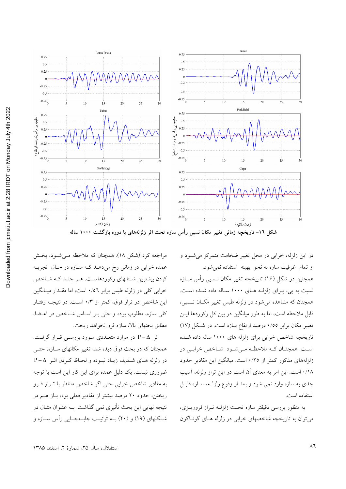

در این زلزله، خرابی در محل تغییر ضخامت متمرکز می شـود و از تمام ظرفیت سازه به نحو بهینه استفاده نمی شود.

همچنین در شکل (۱۶) تاریخچه تغییر مکان نــسبی رأس ســازه نسبت به يي، براي زلزلـه هـاي ١٠٠٠ سـاله داده شـده اسـت. همچنان که مشاهده می شود در زلزله طبس تغییر مکـان نـسبی، قابل ملاحظه است، اما به طور میانگین در بین کل رکوردها ایــن تغییر مکان برابر ۰/٥٥ درصد ارتفاع سازه است. در شکل (۱۷) تاریخچه شاخص خرابی برای زلزله های ۱۰۰۰ ساله داده شـده اسـت. همچنــان كــه ملاحظــه مــيشــود شــاخص خرابــي در زلزلههای مذکور کمتر از ۰/۲٥ است. میانگین این مقادیر حدود ١/١٨ است. اين امر به معناي آن است در اين تراز زلزله، آسيب جدي به سازه وارد نمي شود و بعد از وقوع زلزلـه، سـازه قابـل استفاده است.

به منظور بررسی دقیقتر سازه تحت زلزلـه تـراز فروریـزی، می توان به تاریخچه شاخصهای خرابی در زلزله هـای گونـاگون

مراجعه کرد (شکل ۱۸). همچنان که ملاحظه مــی شــود، بخــش عمده خرابی در زمانی رخ میدهـد کـه سـازه در حـال تجربـه کردن بیشترین شتابهای رکوردهاست. هـر چنـد کـه شـاخص خرابی کلی در زلزله طبس برابر ۰/٥٦ است، اما مقـدار میـانگین این شاخص در تراز فوق، کمتر از ۰/۳ است، در نتیجه رفتـار كلي سازه، مطلوب بوده و حتى بـر اسـاس شـاخص در اعـضا، مطابق بحثهاى بالا، سازه فرو نخواهد ريخت.

اثر P−∆ در موارد متعـددي مـورد بررسـي قـرار گرفـت. همچنان که در بحث فوق دیده شد، تغییر مکانهای سـازه، حتـی در زلزله هاى شـديد، زيـاد نبـوده و لحـاظ كـردن اثـر P−∆ ضروری نیست. یک دلیل عمده برای این کار این است با توجه به مقادیر شاخص خرابی حتی اگر شاخص متناظر با تـراز فـرو ریختن، حدود ۲۰ درصد بیشتر از مقادیر فعلی بود، بـاز هــم در نتیجه نهایی این بحث تأثیری نمی گذاشت. بــه عنــوان مثــال در شــکلهای (۱۹) و (۲۰) بــه ترتیــب جابــهجــایی رأس ســازه و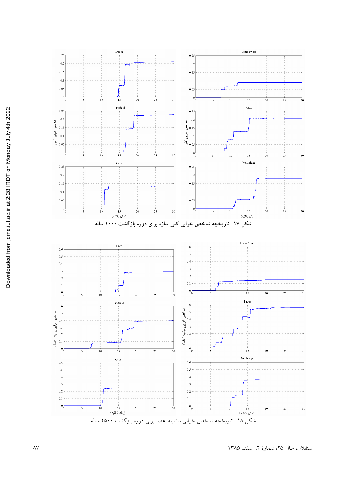

استقلال، سال ٢۵، شمارة ٢، اسفند ١٣٨۵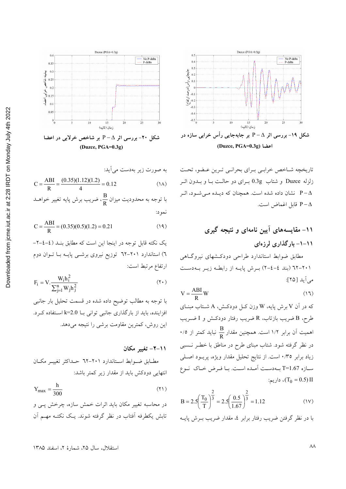





$$
R
$$

$$
C = \frac{ABI}{R} = (0.35)(0.5)(1.2) = 0.21
$$
 (19)

یک نکته قابل توجه در اینجا این است که مطابق بنــد (٤–٤–٢– ٦) استاندارد ۲۰۱–۲۲ توزیع نیروی برشــی پایــه بــا تــوان دوم ارتفاع مرتبط است:

$$
F_i = V \cdot \frac{W_i h_i^2}{\sum_{j=1}^n W_j h_j^2}
$$
 (7.)

با توجه به مطالب توضیح داده شده در قسمت تحلیل بار جانبی افزاینده، باید از بارگذاری جانبی توانی بــا 2.0=k اســتفاده کــرد. این روش، کمترین مقاومت برشی را نتیجه می دهد.

 $Y_{\text{max}} = \frac{h}{300}$  $(11)$ 

در محاسبه تغییر مکان باید اثرات خمش سازه، چرخش یـی و تابش يكطرفه أفتاب در نظر گرفته شوند. يـك نكتـه مهـم أن



تاریخچه شـاخص خرابـی بـرای بحرانـی تـرین عـضو، تحـت زلزله Duzce و شتاب 0.3g بـراي دو حالـت بـا و بـدون اثـر نشان داده شده است. همچنان که دیلده می شود، اثر P- $\Delta$ P-∆ قابل اغماض است.

$$
V = \frac{ABI}{R}W\tag{11}
$$

که در آن V برش پایه، W وزن کـل دودکـش، A شــتاب مبنــای طرح، B ضریب بازتاب، R ضریب رفتار دودکـش و I ضــریب ۰/۰ اممیت آن برابر ۱/۲ است. همچنین مقدار  $\frac{\text{B}}{\text{R}}$  نباید کمتر از ۰/۰ در نظر گرفته شود. شتاب مبنای طرح در مناطق با خطـر نــسبی زیاد برابر ۰/۳۵ است. از نتایج تحلیل مقدار ویژه، پریــود اصــلی سازه T=1.67 به دست آمده است. با فرض خاک نوع  $T_0 = 0.5$ ) ، داریم:

$$
B = 2.5 \left(\frac{T_0}{T}\right)^{\frac{2}{3}} = 2.5 \left(\frac{0.5}{1.67}\right)^{\frac{2}{3}} = 1.12
$$
 (1V)

با در نظر گرفتن ضریب رفتار برابر ٤، مقدار ضریب بـرش پایــه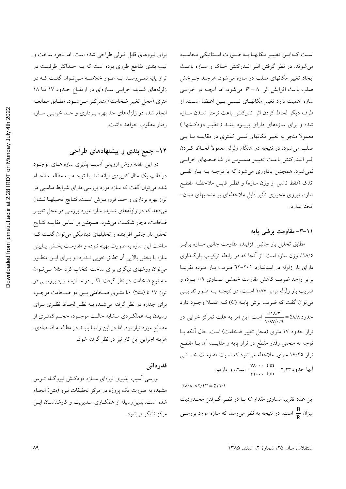است كـهايـن تغييـر مكانهـا بـه صـورت اسـتاتيكي محاسـبه می شوند. در نظر گرفتن اثـر انــدرکنش خـاک و سـازه باعـث ایجاد تغییر مکانهای صلب در سازه می شود. هرچند چـرخش صلب باعث افزایش اثر  $\Delta-P-\Delta$  میشود، اما آنچـه در خرابـی سازه اهمیت دارد تغییر مکانهـای نـسبی بـین اعـضا اسـت. از طرف ديگر لحاظ كردن اثر اندركنش باعث نرمتر شـدن سـازه شده و برای سازههای دارای پریـود بلنـد ( نظیـر دودکـشها ) معمولا منجر به تغییر مکانهای نسبی کمتری در مقایسه بـا پــی صلب می شود. در نتیجه در هنگام زلزله معمولا لحـاظ کــردن اثـر انــدرکنش باعـث تغییـر ملمــوس در شاخــصهای خرابــی نمی شود. همچنین یاداوری می شود که با توجـه بـه بـار ثقلـی اندک (فقط ناشی از وزن سازه) و قطـر قابـل ملاحظـه مقطـع سازه، نیروی محوری تأثیر قابل ملاحظهای بر منحنیهای ممان– انحنا ندارد.

#### ۰۱–۳– مقاومت برشب پایه

مطابق تحليل بار جانبي افزاينده مقاومت جانبي سـازه برابـر ١٨/٥٪ وزن سازه است. از آنجا كه در رابطه تركيب بارگـذارى دارای بار زلزله در استاندارد ۲۰۱-٦۲ ضریب بار مرده تقریبا برابر واحد ضریب کاهش مقاومت خمشی مـساوی ۰/۹ بـوده و ضریب بار زلزله برابر ۱/۸۷ است، در نتیجـه بـه طـور تقریبـی می توان گفت که ضریب برش پایـه (C)کـه عمــلا وجـود دارد حدود ۸/۸٪ = ۱۸/۳٪<br>حدود ۸/۸٪ = ۱/۸۷/۰/۹ تراز حدود ۱۷ متری (محل تغییر ضخامت) است. حال آنکه بـا توجه به منحنی رفتار مقطع در تراز پایه و مقایــسه آن بــا مقطــع تراز ۱۷/۲۵ متری، ملاحظه میشود که نسبت مقاومـت خمــشی i است، و داریم:  $\frac{V\Lambda\dots}{r} = r$  است، و داریم:

 $\chi$ A/A  $\times$  Y/fr =  $\chi$ ۲ \/f این عدد تقریبا مساوی مقدار  $C$  بــا در نظـر گــرفتن محــدودیت میزان <mark>B</mark> است. در نتیجه به نظر م<sub>ی</sub>رسد که سازه مورد بررســی

برای نیروهای قابل قبولی طراحی شده است. اما نحوه ساخت و تیپ بندی مقاطع طوری بوده است که بـه حـداکثر ظرفیـت در تراز پایه نمـیرسـد. بـه طـور خلاصـه مـیتوان گفـت کـه در زلزلههای شدید، خرابی سازهای در ارتفاع حدود ١٧ تا ١٨ متري (محل تغيير ضخامت) متمركـز مـي شـود. مطـابق مطالعـه .<br>انجام شده در زلزلههای حد بهره بـرداری و حــد خرابــی ســازه رفتار مطلوب خواهد داشت.

# ۱۲- جمع بندی و پیشنهادهای طراحی

در این مقاله روش ارزیابی آسیب پذیری سازه هـای موجــود در قالب یک مثال کاربردی ارائه شد. با توجـه بـه مطالعـه انجـام شده می توان گفت که سازه مورد بررسی دارای شرایط مناسبی در تراز بهره برداري وحد فروريـزش اسـت. نتـايج تحليلهـا نـشان میدهد که در زلزلههای شدید، سازه مورد بررسی در محل تغییـر ضخامت، دچار شکست میشود. همچنین بر اساس مقایسه نتـایج تحلیل بار جانبی افزاینده و تحلیلهای دینامیکی می توان گفت ک ساخت اين سازه به صورت بهينه نبوده و مقاومت بخـش پـايينې سازه با بخش بالایی اَن تطابق خوبی نـدارد، و بــرای ایــن منظـور می توان روشهای دیگری برای ساخت انتخاب کرد. مثلا میتوان سه نوع ضخامت در نظر گرفت. اگــر در ســازه مــورد بررســی در تراز ۱۷ تا (مثلا) ٤٠ متـري ضـخامتي بـين دو ضـخامت موجـود برای جداره در نظر گرفته می شـد، بـه نظـر لحـاظ نظـری بـرای رسیدن بـه عملکـردي مــشابه حالــت موجـود، حجـم کمتـري از مصالح مورد نیاز بود. اما در این راستا بایـد در مطالعـه اقتـصادی، هزينه اجرايي اين كار نيز در نظر گرفته شود.

#### قدردانی

بررسی اسیب پذیری لرزهای سـازه دودکـش نیروگـاه تــوس مشهد، به صورت یک پروژه در مرکز تحقیقات نیرو (متن) انجـام شده است. بدین وسیله از همکاری مـدیریت و کارشناسـان ایـن مرکز تشکر می شود.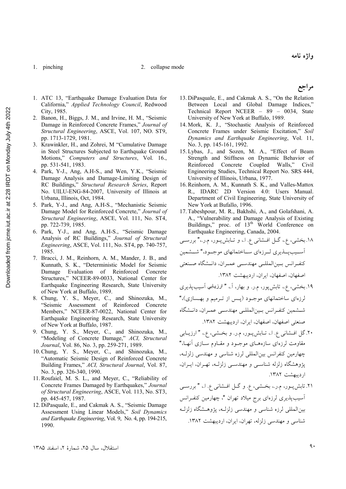#### 1. pinching 2. collapse mode

مر اجع

- 1. ATC 13, "Earthquake Damage Evaluation Data for California," *Applied Technology Council*, Redwood City, 1985.
- 2. Banon, H., Biggs, J. M., and Irvine, H. M., "Seismic Damage in Reinforced Concrete Frames," *Journal of Structural Engineering*, ASCE, Vol. 107, NO. ST9, pp. 1713-1729, 1981.
- 3. Krawinkler, H., and Zohrei, M "Cumulative Damage in Steel Structures Subjected to Earthquake Ground Motions," *Computers and Structures*, Vol. 16., pp. 531-541, 1983.
- 4. Park, Y-J., Ang, A.H-S., and Wen, Y.K., "Seismic Damage Analysis and Damage-Limiting Design of RC Buildings," *Structural Research Series*, Report No. UILU-ENG-84-2007, University of Illinois at Urbana, Illinois, Oct, 1984.
- 5. Park, Y-J., and Ang, A.H-S., "Mechanistic Seismic Damage Model for Reinforced Concrete," *Journal of Structural Engineering*, ASCE, Vol. 111, No. ST4, pp. 722-739, 1985.
- 6. Park, Y-J., and Ang, A.H-S., "Seismic Damage Analysis of RC Buildings," *Journal of Structural Engineering*, ASCE, Vol. 111, No. ST4, pp. 740-757, 1985.
- 7. Bracci, J. M., Reinhorn, A. M., Mander, J. B., and Kunnath, S. K., "Deterministic Model for Seismic Damage Evaluation of Reinforced Concrete Structures," NCEER-89-0033, National Center for Earthquake Engineering Research, State University of New York at Buffalo, 1989.
- 8. Chung, Y. S., Meyer, C., and Shinozuka, M., "Seismic Assessment of Reinforced Concrete Members," NCEER-87-0022, National Center for Earthquake Engineering Research, State University of New York at Buffalo, 1987.
- 9. Chung, Y. S., Meyer, C., and Shinozuka, M., "Modeling of Concrete Damage," *ACI, Structural Journal*, Vol. 86, No. 3, pp. 259-271, 1989.
- 10.Chung, Y. S., Meyer, C., and Shinozuka, M., "Automatic Seismic Design of Reinforced Concrete Building Frames," *ACI, Structural Journal*, Vol. 87, No. 3, pp. 326-340, 1990.
- 11.Roufaiel, M. S. L., and Meyer, C., "Reliability of Concrete Frames Damaged by Earthquakes," *Journal of Structural Engineering*, ASCE, Vol. 113, No. ST3, pp. 445-457, 1987.
- 12. DiPasquale, E., and Cakmak A. S., "Seismic Damage Assessment Using Linear Models," *Soil Dynamics and Earthquake Engineering*, Vol. 9, No. 4, pp. 194-215, 1990.
- 13. DiPasquale, E., and Cakmak A. S., "On the Relation Between Local and Global Damage Indices," Technical Report NCEER – 89 – 0034, State University of New York at Buffalo, 1989.
- 14. Mork, K. J., "Stochastic Analysis of Reinforced Concrete Frames under Seismic Excitation," *Soil Dynamics and Earthquake Engineering*, Vol. 11, No. 3, pp. 145-161, 1992.
- 15. Lybas, J., and Sozen, M. A., "Effect of Beam Strength and Stiffness on Dynamic Behavior of<br>Reinforced Concrete Coupled Walls," Civil Reinforced Concrete Coupled Engineering Studies, Technical Report No. SRS 444, University of Illinois, Urbana, 1977.
- 16.Reinhorn, A. M., Kunnath S. K., and Valles-Mattox R., IDARC 2D Version 4.0: Users Manual. Department of Civil Engineering, State University of New York at Bufallo, 1996.
- 17. Tabeshpour, M. R., Bakhshi, A., and Golafshani, A. A., "Vulnerability and Damage Analysis of Existing Buildings," proc. of 13<sup>th</sup> World Conference on Earthquake Engineering, Canada, 2004.

۱۸.بخشی، ع.، گــل افــشانی ع. ا.، و تــابش.پــور، م.ر.،" بررســی آســيبدِين يــذيري لــرزهاي ســـاختمانهاي موجــود،" شـــشمين كنف انس بين المللي مهندسي عمران، دانـشگاه صـنعتي اصفهان، اصفهان، ايران، ارديبهشت ١٣٨٢. ١٩. بخشي، ع.، تابش پور، م.ر. و بهار، آ.، " ارزيابي آسيب پذيري لرزهای ساختمانهای موجـود (پـس از تـرمیم و بهـسازی)،"

- شــشمین کنفـرانس بـین|لمللـی مهندســی عمـران، دانــشگاه صنعتی اصفهان، اصفهان، ایران، اردیبهشت ۱۳۸۲.
- ۲۰. گل افسشانی ع. ا.، تــابش پــور، م.ر. و بخــشی، ع.، " ارزيــابي مقاومت لرزهای سازههـای موجـود و مقـاوم سـازی آنهـا،" چهارمین کنفرانس بین المللی لرزه شناسی و مهندسی زلزلـه، پژوهشگاه زلزله شناسبی و مهندسبی زلزلـه، تهـران، ایـران، ارديبهشت ١٣٨٢.
- ۲۱. تابش پــور، م.ر.، بخــشی، ع. و گــل افــشانی ع. ا.، " بررســی آسیب پذیری لرزهای برج میلاد تهران "، چهارمین کنف انس بین المللی لرزه شناسی و مهندسی زلزلـه، یژوهـشگاه زلزلـه شناسی و مهندسی زلزله، تهران، ایران، اردیبهشت ۱۳۸۲.